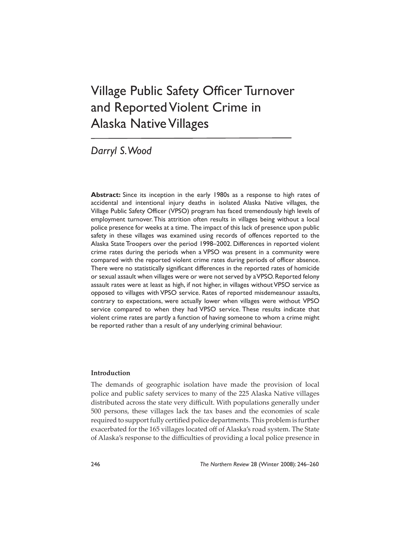# Village Public Safety Officer Turnover and Reported Violent Crime in Alaska Native Villages

# *Darryl S. Wood*

**Abstract:** Since its inception in the early 1980s as a response to high rates of accidental and intentional injury deaths in isolated Alaska Native villages, the Village Public Safety Officer (VPSO) program has faced tremendously high levels of employment turnover. This attrition often results in villages being without a local police presence for weeks at a time. The impact of this lack of presence upon public safety in these villages was examined using records of offences reported to the Alaska State Troopers over the period 1998–2002. Differences in reported violent crime rates during the periods when a VPSO was present in a community were compared with the reported violent crime rates during periods of officer absence. There were no statistically significant differences in the reported rates of homicide or sexual assault when villages were or were not served by a VPSO. Reported felony assault rates were at least as high, if not higher, in villages without VPSO service as opposed to villages with VPSO service. Rates of reported misdemeanour assaults, contrary to expectations, were actually lower when villages were without VPSO service compared to when they had VPSO service. These results indicate that violent crime rates are partly a function of having someone to whom a crime might be reported rather than a result of any underlying criminal behaviour.

# **Introduction**

The demands of geographic isolation have made the provision of local police and public safety services to many of the 225 Alaska Native villages distributed across the state very difficult. With populations generally under 500 persons, these villages lack the tax bases and the economies of scale required to support fully certified police departments. This problem is further exacerbated for the 165 villages located off of Alaska's road system. The State of Alaska's response to the difficulties of providing a local police presence in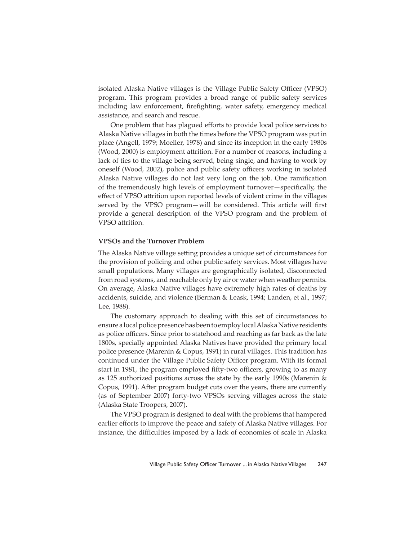isolated Alaska Native villages is the Village Public Safety Officer (VPSO) program. This program provides a broad range of public safety services including law enforcement, firefighting, water safety, emergency medical assistance, and search and rescue.

One problem that has plagued efforts to provide local police services to Alaska Native villages in both the times before the VPSO program was put in place (Angell, 1979; Moeller, 1978) and since its inception in the early 1980s (Wood, 2000) is employment attrition. For a number of reasons, including a lack of ties to the village being served, being single, and having to work by oneself (Wood, 2002), police and public safety officers working in isolated Alaska Native villages do not last very long on the job. One ramification of the tremendously high levels of employment turnover-specifically, the effect of VPSO attrition upon reported levels of violent crime in the villages served by the VPSO program—will be considered. This article will first provide a general description of the VPSO program and the problem of VPSO attrition.

### **VPSOs and the Turnover Problem**

The Alaska Native village setting provides a unique set of circumstances for the provision of policing and other public safety services. Most villages have small populations. Many villages are geographically isolated, disconnected from road systems, and reachable only by air or water when weather permits. On average, Alaska Native villages have extremely high rates of deaths by accidents, suicide, and violence (Berman & Leask, 1994; Landen, et al., 1997; Lee, 1988).

The customary approach to dealing with this set of circumstances to ensure a local police presence has been to employ local Alaska Native residents as police officers. Since prior to statehood and reaching as far back as the late 1800s, specially appointed Alaska Natives have provided the primary local police presence (Marenin & Copus, 1991) in rural villages. This tradition has continued under the Village Public Safety Officer program. With its formal start in 1981, the program employed fifty-two officers, growing to as many as 125 authorized positions across the state by the early 1990s (Marenin & Copus, 1991). After program budget cuts over the years, there are currently (as of September 2007) forty-two VPSOs serving villages across the state (Alaska State Troopers, 2007).

The VPSO program is designed to deal with the problems that hampered earlier efforts to improve the peace and safety of Alaska Native villages. For instance, the difficulties imposed by a lack of economies of scale in Alaska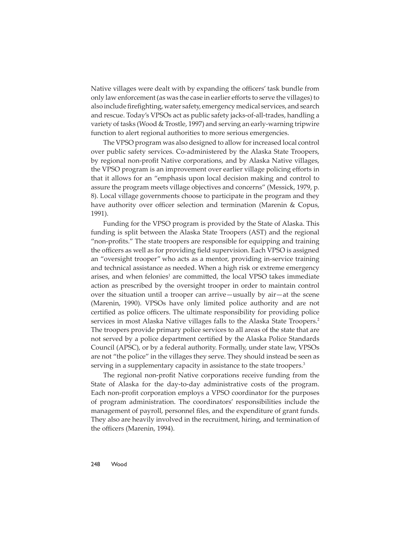Native villages were dealt with by expanding the officers' task bundle from only law enforcement (as was the case in earlier efforts to serve the villages) to also include firefighting, water safety, emergency medical services, and search and rescue. Today's VPSOs act as public safety jacks-of-all-trades, handling a variety of tasks (Wood & Trostle, 1997) and serving an early-warning tripwire function to alert regional authorities to more serious emergencies.

The VPSO program was also designed to allow for increased local control over public safety services. Co-administered by the Alaska State Troopers, by regional non-profit Native corporations, and by Alaska Native villages, the VPSO program is an improvement over earlier village policing efforts in that it allows for an "emphasis upon local decision making and control to assure the program meets village objectives and concerns" (Messick, 1979, p. 8). Local village governments choose to participate in the program and they have authority over officer selection and termination (Marenin  $\&$  Copus, 1991).

Funding for the VPSO program is provided by the State of Alaska. This funding is split between the Alaska State Troopers (AST) and the regional "non-profits." The state troopers are responsible for equipping and training the officers as well as for providing field supervision. Each VPSO is assigned an "oversight trooper" who acts as a mentor, providing in-service training and technical assistance as needed. When a high risk or extreme emergency arises, and when felonies<sup>1</sup> are committed, the local VPSO takes immediate action as prescribed by the oversight trooper in order to maintain control over the situation until a trooper can arrive—usually by air—at the scene (Marenin, 1990). VPSOs have only limited police authority and are not certified as police officers. The ultimate responsibility for providing police services in most Alaska Native villages falls to the Alaska State Troopers.<sup>2</sup> The troopers provide primary police services to all areas of the state that are not served by a police department certified by the Alaska Police Standards Council (APSC), or by a federal authority. Formally, under state law, VPSOs are not "the police" in the villages they serve. They should instead be seen as serving in a supplementary capacity in assistance to the state troopers.<sup>3</sup>

The regional non-profit Native corporations receive funding from the State of Alaska for the day-to-day administrative costs of the program. Each non-profit corporation employs a VPSO coordinator for the purposes of program administration. The coordinators' responsibilities include the management of payroll, personnel files, and the expenditure of grant funds. They also are heavily involved in the recruitment, hiring, and termination of the officers (Marenin, 1994).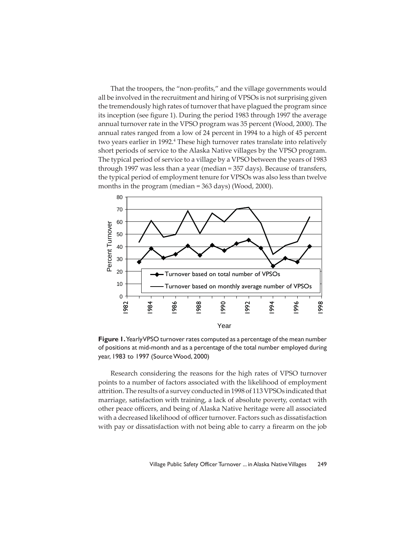That the troopers, the "non-profits," and the village governments would all be involved in the recruitment and hiring of VPSOs is not surprising given the tremendously high rates of turnover that have plagued the program since its inception (see figure 1). During the period 1983 through 1997 the average annual turnover rate in the VPSO program was 35 percent (Wood, 2000). The annual rates ranged from a low of 24 percent in 1994 to a high of 45 percent two years earlier in 1992.<sup>4</sup> These high turnover rates translate into relatively short periods of service to the Alaska Native villages by the VPSO program. The typical period of service to a village by a VPSO between the years of 1983 through 1997 was less than a year (median = 357 days). Because of transfers, the typical period of employment tenure for VPSOs was also less than twelve months in the program (median = 363 days) (Wood, 2000).



**Figure 1.** Yearly VPSO turnover rates computed as a percentage of the mean number of positions at mid-month and as a percentage of the total number employed during year, 1983 to 1997 (Source Wood, 2000)

Research considering the reasons for the high rates of VPSO turnover points to a number of factors associated with the likelihood of employment attrition. The results of a survey conducted in 1998 of 113 VPSOs indicated that marriage, satisfaction with training, a lack of absolute poverty, contact with other peace officers, and being of Alaska Native heritage were all associated with a decreased likelihood of officer turnover. Factors such as dissatisfaction with pay or dissatisfaction with not being able to carry a firearm on the job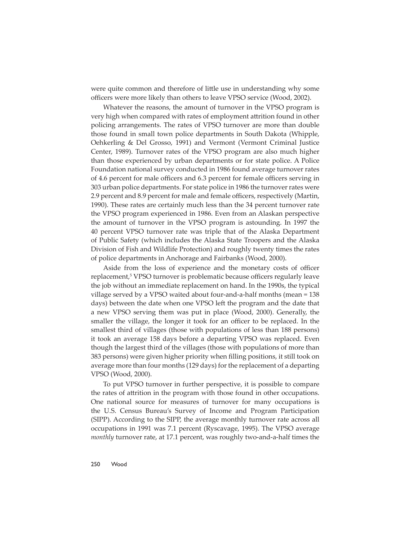were quite common and therefore of little use in understanding why some officers were more likely than others to leave VPSO service (Wood, 2002).

Whatever the reasons, the amount of turnover in the VPSO program is very high when compared with rates of employment attrition found in other policing arrangements. The rates of VPSO turnover are more than double those found in small town police departments in South Dakota (Whipple, Oehkerling & Del Grosso, 1991) and Vermont (Vermont Criminal Justice Center, 1989). Turnover rates of the VPSO program are also much higher than those experienced by urban departments or for state police. A Police Foundation national survey conducted in 1986 found average turnover rates of 4.6 percent for male officers and 6.3 percent for female officers serving in 303 urban police departments. For state police in 1986 the turnover rates were 2.9 percent and 8.9 percent for male and female officers, respectively (Martin, 1990). These rates are certainly much less than the 34 percent turnover rate the VPSO program experienced in 1986. Even from an Alaskan perspective the amount of turnover in the VPSO program is astounding. In 1997 the 40 percent VPSO turnover rate was triple that of the Alaska Department of Public Safety (which includes the Alaska State Troopers and the Alaska Division of Fish and Wildlife Protection) and roughly twenty times the rates of police departments in Anchorage and Fairbanks (Wood, 2000).

Aside from the loss of experience and the monetary costs of officer replacement,<sup>5</sup> VPSO turnover is problematic because officers regularly leave the job without an immediate replacement on hand. In the 1990s, the typical village served by a VPSO waited about four-and-a-half months (mean = 138 days) between the date when one VPSO left the program and the date that a new VPSO serving them was put in place (Wood, 2000). Generally, the smaller the village, the longer it took for an officer to be replaced. In the smallest third of villages (those with populations of less than 188 persons) it took an average 158 days before a departing VPSO was replaced. Even though the largest third of the villages (those with populations of more than 383 persons) were given higher priority when filling positions, it still took on average more than four months (129 days) for the replacement of a departing VPSO (Wood, 2000).

To put VPSO turnover in further perspective, it is possible to compare the rates of attrition in the program with those found in other occupations. One national source for measures of turnover for many occupations is the U.S. Census Bureau's Survey of Income and Program Participation (SIPP). According to the SIPP, the average monthly turnover rate across all occupations in 1991 was 7.1 percent (Ryscavage, 1995). The VPSO average *monthly* turnover rate, at 17.1 percent, was roughly two-and-a-half times the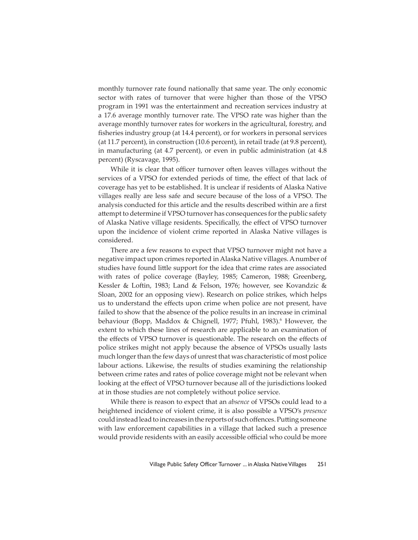monthly turnover rate found nationally that same year. The only economic sector with rates of turnover that were higher than those of the VPSO program in 1991 was the entertainment and recreation services industry at a 17.6 average monthly turnover rate. The VPSO rate was higher than the average monthly turnover rates for workers in the agricultural, forestry, and fisheries industry group (at 14.4 percent), or for workers in personal services (at 11.7 percent), in construction (10.6 percent), in retail trade (at 9.8 percent), in manufacturing (at 4.7 percent), or even in public administration (at 4.8 percent) (Ryscavage, 1995).

While it is clear that officer turnover often leaves villages without the services of a VPSO for extended periods of time, the effect of that lack of coverage has yet to be established. It is unclear if residents of Alaska Native villages really are less safe and secure because of the loss of a VPSO. The analysis conducted for this article and the results described within are a first attempt to determine if VPSO turnover has consequences for the public safety of Alaska Native village residents. Specifically, the effect of VPSO turnover upon the incidence of violent crime reported in Alaska Native villages is considered.

There are a few reasons to expect that VPSO turnover might not have a negative impact upon crimes reported in Alaska Native villages. A number of studies have found little support for the idea that crime rates are associated with rates of police coverage (Bayley, 1985; Cameron, 1988; Greenberg, Kessler & Loftin, 1983; Land & Felson, 1976; however, see Kovandzic & Sloan, 2002 for an opposing view). Research on police strikes, which helps us to understand the effects upon crime when police are not present, have failed to show that the absence of the police results in an increase in criminal behaviour (Bopp, Maddox & Chignell, 1977; Pfuhl, 1983).<sup>6</sup> However, the extent to which these lines of research are applicable to an examination of the effects of VPSO turnover is questionable. The research on the effects of police strikes might not apply because the absence of VPSOs usually lasts much longer than the few days of unrest that was characteristic of most police labour actions. Likewise, the results of studies examining the relationship between crime rates and rates of police coverage might not be relevant when looking at the effect of VPSO turnover because all of the jurisdictions looked at in those studies are not completely without police service.

While there is reason to expect that an *absence* of VPSOs could lead to a heightened incidence of violent crime, it is also possible a VPSO's *presence* could instead lead to increases in the reports of such offences. Putting someone with law enforcement capabilities in a village that lacked such a presence would provide residents with an easily accessible official who could be more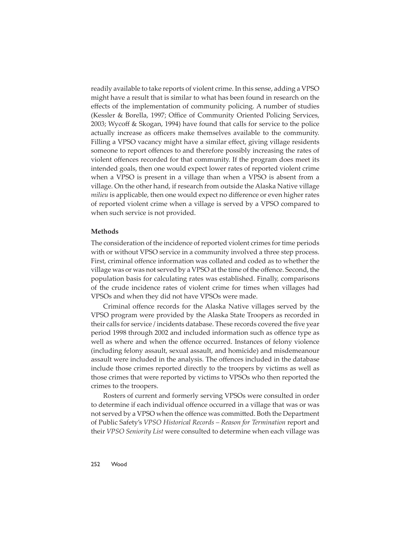readily available to take reports of violent crime. In this sense, adding a VPSO might have a result that is similar to what has been found in research on the effects of the implementation of community policing. A number of studies (Kessler & Borella, 1997; Office of Community Oriented Policing Services, 2003; Wycoff & Skogan, 1994) have found that calls for service to the police actually increase as officers make themselves available to the community. Filling a VPSO vacancy might have a similar effect, giving village residents someone to report offences to and therefore possibly increasing the rates of violent offences recorded for that community. If the program does meet its intended goals, then one would expect lower rates of reported violent crime when a VPSO is present in a village than when a VPSO is absent from a village. On the other hand, if research from outside the Alaska Native village *milieu* is applicable, then one would expect no difference or even higher rates of reported violent crime when a village is served by a VPSO compared to when such service is not provided.

#### **Methods**

The consideration of the incidence of reported violent crimes for time periods with or without VPSO service in a community involved a three step process. First, criminal offence information was collated and coded as to whether the village was or was not served by a VPSO at the time of the offence. Second, the population basis for calculating rates was established. Finally, comparisons of the crude incidence rates of violent crime for times when villages had VPSOs and when they did not have VPSOs were made.

Criminal offence records for the Alaska Native villages served by the VPSO program were provided by the Alaska State Troopers as recorded in their calls for service / incidents database. These records covered the five year period 1998 through 2002 and included information such as offence type as well as where and when the offence occurred. Instances of felony violence (including felony assault, sexual assault, and homicide) and misdemeanour assault were included in the analysis. The offences included in the database include those crimes reported directly to the troopers by victims as well as those crimes that were reported by victims to VPSOs who then reported the crimes to the troopers.

Rosters of current and formerly serving VPSOs were consulted in order to determine if each individual offence occurred in a village that was or was not served by a VPSO when the offence was committed. Both the Department of Public Safety's *VPSO Historical Records – Reason for Termination* report and their *VPSO Seniority List* were consulted to determine when each village was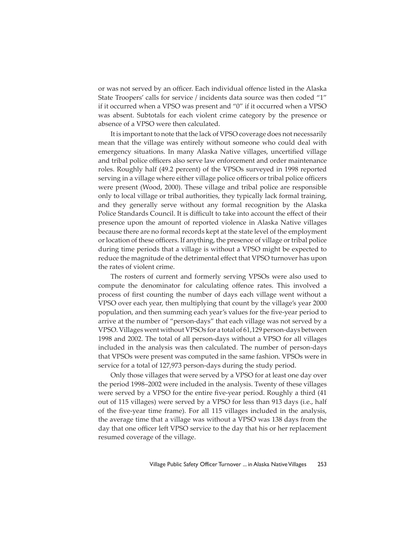or was not served by an officer. Each individual offence listed in the Alaska State Troopers' calls for service / incidents data source was then coded "1" if it occurred when a VPSO was present and "0" if it occurred when a VPSO was absent. Subtotals for each violent crime category by the presence or absence of a VPSO were then calculated.

It is important to note that the lack of VPSO coverage does not necessarily mean that the village was entirely without someone who could deal with emergency situations. In many Alaska Native villages, uncertified village and tribal police officers also serve law enforcement and order maintenance roles. Roughly half (49.2 percent) of the VPSOs surveyed in 1998 reported serving in a village where either village police officers or tribal police officers were present (Wood, 2000). These village and tribal police are responsible only to local village or tribal authorities, they typically lack formal training, and they generally serve without any formal recognition by the Alaska Police Standards Council. It is difficult to take into account the effect of their presence upon the amount of reported violence in Alaska Native villages because there are no formal records kept at the state level of the employment or location of these officers. If anything, the presence of village or tribal police during time periods that a village is without a VPSO might be expected to reduce the magnitude of the detrimental effect that VPSO turnover has upon the rates of violent crime.

The rosters of current and formerly serving VPSOs were also used to compute the denominator for calculating offence rates. This involved a process of first counting the number of days each village went without a VPSO over each year, then multiplying that count by the village's year 2000 population, and then summing each year's values for the five-year period to arrive at the number of "person-days" that each village was not served by a VPSO. Villages went without VPSOs for a total of 61,129 person-days between 1998 and 2002. The total of all person-days without a VPSO for all villages included in the analysis was then calculated. The number of person-days that VPSOs were present was computed in the same fashion. VPSOs were in service for a total of 127,973 person-days during the study period.

Only those villages that were served by a VPSO for at least one day over the period 1998–2002 were included in the analysis. Twenty of these villages were served by a VPSO for the entire five-year period. Roughly a third (41 out of 115 villages) were served by a VPSO for less than 913 days (i.e., half of the five-year time frame). For all 115 villages included in the analysis, the average time that a village was without a VPSO was 138 days from the day that one officer left VPSO service to the day that his or her replacement resumed coverage of the village.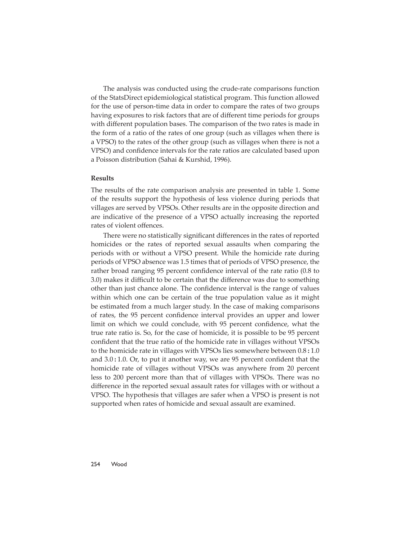The analysis was conducted using the crude-rate comparisons function of the StatsDirect epidemiological statistical program. This function allowed for the use of person-time data in order to compare the rates of two groups having exposures to risk factors that are of different time periods for groups with different population bases. The comparison of the two rates is made in the form of a ratio of the rates of one group (such as villages when there is a VPSO) to the rates of the other group (such as villages when there is not a VPSO) and confidence intervals for the rate ratios are calculated based upon a Poisson distribution (Sahai & Kurshid, 1996).

### **Results**

The results of the rate comparison analysis are presented in table 1. Some of the results support the hypothesis of less violence during periods that villages are served by VPSOs. Other results are in the opposite direction and are indicative of the presence of a VPSO actually increasing the reported rates of violent offences.

There were no statistically significant differences in the rates of reported homicides or the rates of reported sexual assaults when comparing the periods with or without a VPSO present. While the homicide rate during periods of VPSO absence was 1.5 times that of periods of VPSO presence, the rather broad ranging 95 percent confidence interval of the rate ratio (0.8 to 3.0) makes it difficult to be certain that the difference was due to something other than just chance alone. The confidence interval is the range of values within which one can be certain of the true population value as it might be estimated from a much larger study. In the case of making comparisons of rates, the 95 percent confidence interval provides an upper and lower limit on which we could conclude, with 95 percent confidence, what the true rate ratio is. So, for the case of homicide, it is possible to be 95 percent confident that the true ratio of the homicide rate in villages without VPSOs to the homicide rate in villages with VPSOs lies somewhere between 0.8 **:** 1.0 and 3.0:1.0. Or, to put it another way, we are 95 percent confident that the homicide rate of villages without VPSOs was anywhere from 20 percent less to 200 percent more than that of villages with VPSOs. There was no difference in the reported sexual assault rates for villages with or without a VPSO. The hypothesis that villages are safer when a VPSO is present is not supported when rates of homicide and sexual assault are examined.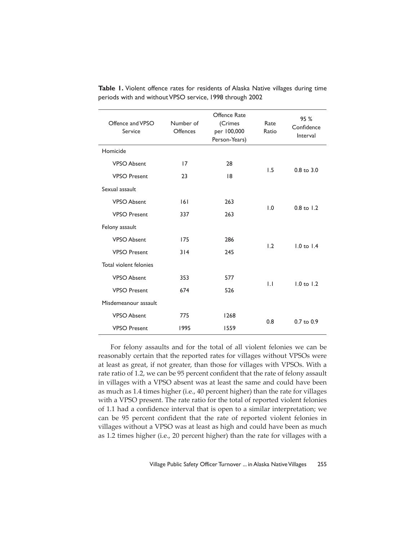| Offence and VPSO<br>Service | Number of<br><b>Offences</b> | Offence Rate<br>(Crimes<br>per 100,000<br>Person-Years) | Rate<br>Ratio | 95 %<br>Confidence<br>Interval |
|-----------------------------|------------------------------|---------------------------------------------------------|---------------|--------------------------------|
| Homicide                    |                              |                                                         |               |                                |
| <b>VPSO Absent</b>          | 17                           | 28                                                      | 1.5           | $0.8$ to $3.0$                 |
| <b>VPSO Present</b>         | 23                           | 8                                                       |               |                                |
| Sexual assault              |                              |                                                         |               |                                |
| <b>VPSO Absent</b>          | 6                            | 263                                                     | 1.0           | $0.8$ to $1.2$                 |
| <b>VPSO Present</b>         | 337                          | 263                                                     |               |                                |
| Felony assault              |                              |                                                         |               |                                |
| <b>VPSO Absent</b>          | 175                          | 286                                                     | 1.2           | $1.0$ to $1.4$                 |
| <b>VPSO Present</b>         | 314                          | 245                                                     |               |                                |
| Total violent felonies      |                              |                                                         |               |                                |
| <b>VPSO Absent</b>          | 353                          | 577                                                     | $\mathsf{L}$  | $1.0$ to $1.2$                 |
| <b>VPSO Present</b>         | 674                          | 526                                                     |               |                                |
| Misdemeanour assault        |                              |                                                         |               |                                |
| <b>VPSO Absent</b>          | 775                          | 1268                                                    | 0.8           | $0.7$ to $0.9$                 |
| <b>VPSO Present</b>         | 1995                         | 1559                                                    |               |                                |

**Table 1.** Violent offence rates for residents of Alaska Native villages during time periods with and without VPSO service, 1998 through 2002

For felony assaults and for the total of all violent felonies we can be reasonably certain that the reported rates for villages without VPSOs were at least as great, if not greater, than those for villages with VPSOs. With a rate ratio of 1.2, we can be 95 percent confident that the rate of felony assault in villages with a VPSO absent was at least the same and could have been as much as 1.4 times higher (i.e., 40 percent higher) than the rate for villages with a VPSO present. The rate ratio for the total of reported violent felonies of 1.1 had a confidence interval that is open to a similar interpretation; we can be 95 percent confident that the rate of reported violent felonies in villages without a VPSO was at least as high and could have been as much as 1.2 times higher (i.e., 20 percent higher) than the rate for villages with a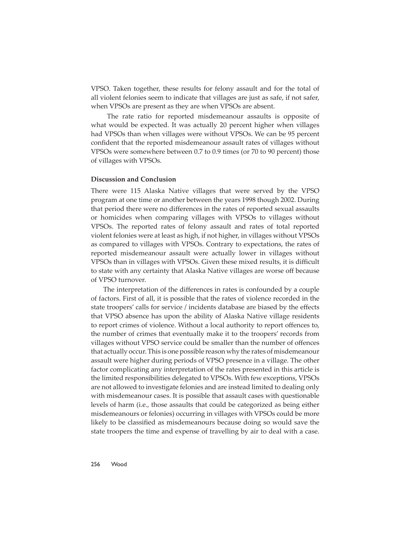VPSO. Taken together, these results for felony assault and for the total of all violent felonies seem to indicate that villages are just as safe, if not safer, when VPSOs are present as they are when VPSOs are absent.

 The rate ratio for reported misdemeanour assaults is opposite of what would be expected. It was actually 20 percent higher when villages had VPSOs than when villages were without VPSOs. We can be 95 percent confident that the reported misdemeanour assault rates of villages without VPSOs were somewhere between 0.7 to 0.9 times (or 70 to 90 percent) those of villages with VPSOs.

# **Discussion and Conclusion**

There were 115 Alaska Native villages that were served by the VPSO program at one time or another between the years 1998 though 2002. During that period there were no differences in the rates of reported sexual assaults or homicides when comparing villages with VPSOs to villages without VPSOs. The reported rates of felony assault and rates of total reported violent felonies were at least as high, if not higher, in villages without VPSOs as compared to villages with VPSOs. Contrary to expectations, the rates of reported misdemeanour assault were actually lower in villages without VPSOs than in villages with VPSOs. Given these mixed results, it is difficult to state with any certainty that Alaska Native villages are worse off because of VPSO turnover.

The interpretation of the differences in rates is confounded by a couple of factors. First of all, it is possible that the rates of violence recorded in the state troopers' calls for service / incidents database are biased by the effects that VPSO absence has upon the ability of Alaska Native village residents to report crimes of violence. Without a local authority to report offences to, the number of crimes that eventually make it to the troopers' records from villages without VPSO service could be smaller than the number of offences that actually occur. This is one possible reason why the rates of misdemeanour assault were higher during periods of VPSO presence in a village. The other factor complicating any interpretation of the rates presented in this article is the limited responsibilities delegated to VPSOs. With few exceptions, VPSOs are not allowed to investigate felonies and are instead limited to dealing only with misdemeanour cases. It is possible that assault cases with questionable levels of harm (i.e., those assaults that could be categorized as being either misdemeanours or felonies) occurring in villages with VPSOs could be more likely to be classified as misdemeanours because doing so would save the state troopers the time and expense of travelling by air to deal with a case.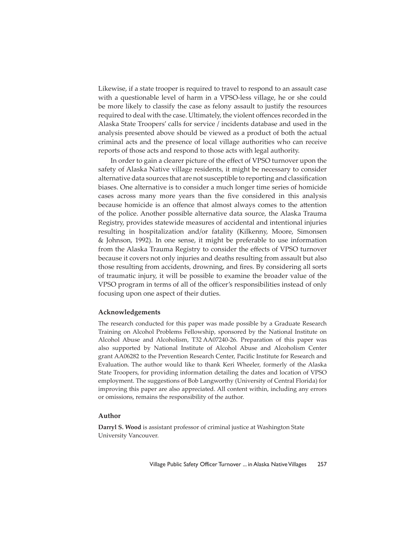Likewise, if a state trooper is required to travel to respond to an assault case with a questionable level of harm in a VPSO-less village, he or she could be more likely to classify the case as felony assault to justify the resources required to deal with the case. Ultimately, the violent offences recorded in the Alaska State Troopers' calls for service / incidents database and used in the analysis presented above should be viewed as a product of both the actual criminal acts and the presence of local village authorities who can receive reports of those acts and respond to those acts with legal authority.

In order to gain a clearer picture of the effect of VPSO turnover upon the safety of Alaska Native village residents, it might be necessary to consider alternative data sources that are not susceptible to reporting and classification biases. One alternative is to consider a much longer time series of homicide cases across many more years than the five considered in this analysis because homicide is an offence that almost always comes to the attention of the police. Another possible alternative data source, the Alaska Trauma Registry, provides statewide measures of accidental and intentional injuries resulting in hospitalization and/or fatality (Kilkenny, Moore, Simonsen & Johnson, 1992). In one sense, it might be preferable to use information from the Alaska Trauma Registry to consider the effects of VPSO turnover because it covers not only injuries and deaths resulting from assault but also those resulting from accidents, drowning, and fires. By considering all sorts of traumatic injury, it will be possible to examine the broader value of the VPSO program in terms of all of the officer's responsibilities instead of only focusing upon one aspect of their duties.

#### **Acknowledgements**

The research conducted for this paper was made possible by a Graduate Research Training on Alcohol Problems Fellowship, sponsored by the National Institute on Alcohol Abuse and Alcoholism, T32 AA07240-26. Preparation of this paper was also supported by National Institute of Alcohol Abuse and Alcoholism Center grant AA06282 to the Prevention Research Center, Pacific Institute for Research and Evaluation. The author would like to thank Keri Wheeler, formerly of the Alaska State Troopers, for providing information detailing the dates and location of VPSO employment. The suggestions of Bob Langworthy (University of Central Florida) for improving this paper are also appreciated. All content within, including any errors or omissions, remains the responsibility of the author.

### **Author**

**Darryl S. Wood** is assistant professor of criminal justice at Washington State University Vancouver.

Village Public Safety Officer Turnover ... in Alaska Native Villages 257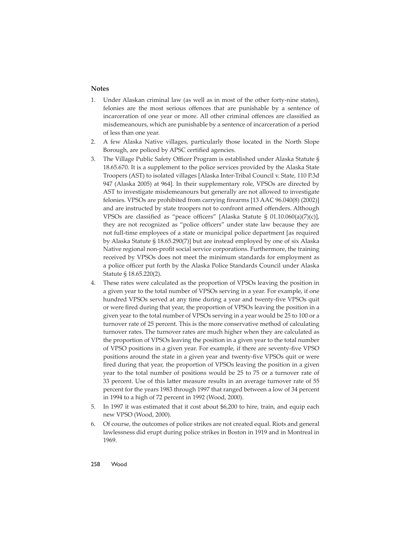# **Notes**

- 1. Under Alaskan criminal law (as well as in most of the other forty-nine states), felonies are the most serious offences that are punishable by a sentence of incarceration of one year or more. All other criminal offences are classified as misdemeanours, which are punishable by a sentence of incarceration of a period of less than one year.
- 2. A few Alaska Native villages, particularly those located in the North Slope Borough, are policed by APSC certified agencies.
- 3. The Village Public Safety Officer Program is established under Alaska Statute § 18.65.670. It is a supplement to the police services provided by the Alaska State Troopers (AST) to isolated villages [Alaska Inter-Tribal Council v. State, 110 P.3d 947 (Alaska 2005) at 964]. In their supplementary role, VPSOs are directed by AST to investigate misdemeanours but generally are not allowed to investigate felonies. VPSOs are prohibited from carrying firearms [13 AAC 96.040(8) (2002)] and are instructed by state troopers not to confront armed offenders. Although VPSOs are classified as "peace officers" [Alaska Statute §  $01.10.060(a)(7)(c)$ ], they are not recognized as "police officers" under state law because they are not full-time employees of a state or municipal police department [as required by Alaska Statute § 18.65.290(7)] but are instead employed by one of six Alaska Native regional non-profit social service corporations. Furthermore, the training received by VPSOs does not meet the minimum standards for employment as a police officer put forth by the Alaska Police Standards Council under Alaska Statute § 18.65.220(2).
- 4. These rates were calculated as the proportion of VPSOs leaving the position in a given year to the total number of VPSOs serving in a year. For example, if one hundred VPSOs served at any time during a year and twenty-five VPSOs quit or were fired during that year, the proportion of VPSOs leaving the position in a given year to the total number of VPSOs serving in a year would be 25 to 100 or a turnover rate of 25 percent. This is the more conservative method of calculating turnover rates. The turnover rates are much higher when they are calculated as the proportion of VPSOs leaving the position in a given year to the total number of VPSO positions in a given year. For example, if there are seventy-five VPSO positions around the state in a given year and twenty-five VPSOs quit or were fired during that year, the proportion of VPSOs leaving the position in a given year to the total number of positions would be 25 to 75 or a turnover rate of 33 percent. Use of this latter measure results in an average turnover rate of 55 percent for the years 1983 through 1997 that ranged between a low of 34 percent in 1994 to a high of 72 percent in 1992 (Wood, 2000).
- 5. In 1997 it was estimated that it cost about \$6,200 to hire, train, and equip each new VPSO (Wood, 2000).
- 6. Of course, the outcomes of police strikes are not created equal. Riots and general lawlessness did erupt during police strikes in Boston in 1919 and in Montreal in 1969.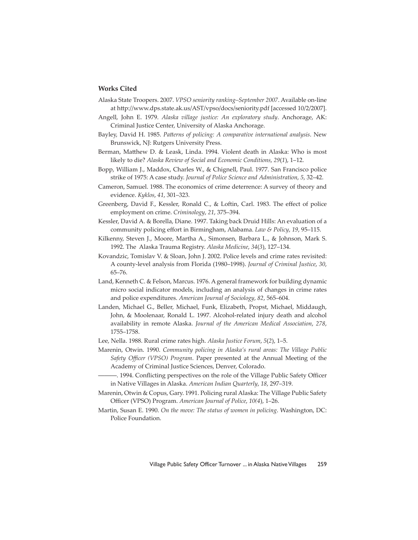## **Works Cited**

- Alaska State Troopers. 2007. *VPSO seniority ranking–September 2007*. Available on-line at http://www.dps.state.ak.us/AST/vpso/docs/seniority.pdf [accessed 10/2/2007].
- Angell, John E. 1979. *Alaska village justice: An exploratory study*. Anchorage, AK: Criminal Justice Center, University of Alaska Anchorage.
- Bayley, David H. 1985. Patterns of policing: A comparative international analysis. New Brunswick, NJ: Rutgers University Press.
- Berman, Matthew D. & Leask, Linda. 1994. Violent death in Alaska: Who is most likely to die? *Alaska Review of Social and Economic Conditions*, *29*(*1*), 1–12.
- Bopp, William J., Maddox, Charles W., & Chignell, Paul. 1977. San Francisco police strike of 1975: A case study. *Journal of Police Science and Administration*, *5*, 32–42.
- Cameron, Samuel. 1988. The economics of crime deterrence: A survey of theory and evidence. *Kyklos*, *41*, 301–323.
- Greenberg, David F., Kessler, Ronald C., & Loftin, Carl. 1983. The effect of police employment on crime. *Criminology*, *21*, 375–394.
- Kessler, David A. & Borella, Diane. 1997. Taking back Druid Hills: An evaluation of a community policing effort in Birmingham, Alabama. *Law & Policy*, 19, 95–115.
- Kilkenny, Steven J., Moore, Martha A., Simonsen, Barbara L., & Johnson, Mark S. 1992. The Alaska Trauma Registry. *Alaska Medicine*, *34*(*3*), 127–134.
- Kovandzic, Tomislav V. & Sloan, John J. 2002. Police levels and crime rates revisited: A county-level analysis from Florida (1980–1998). *Journal of Criminal Justice*, *30*, 65–76.
- Land, Kenneth C. & Felson, Marcus. 1976. A general framework for building dynamic micro social indicator models, including an analysis of changes in crime rates and police expenditures. *American Journal of Sociology*, *82*, 565–604.
- Landen, Michael G., Beller, Michael, Funk, Elizabeth, Propst, Michael, Middaugh, John, & Moolenaar, Ronald L. 1997. Alcohol-related injury death and alcohol availability in remote Alaska. *Journal of the American Medical Association*, *278*, 1755–1758.
- Lee, Nella. 1988. Rural crime rates high. *Alaska Justice Forum*, *5*(*2*), 1–5.
- Marenin, Otwin. 1990. *Community policing in Alaska's rural areas: The Village Public Safety Offi cer (VPSO) Program*. Paper presented at the Annual Meeting of the Academy of Criminal Justice Sciences, Denver, Colorado.
- —. 1994. Conflicting perspectives on the role of the Village Public Safety Officer in Native Villages in Alaska. *American Indian Quarterly*, *18*, 297–319.
- Marenin, Otwin & Copus, Gary. 1991. Policing rural Alaska: The Village Public Safety Officer (VPSO) Program. American Journal of Police, 10(4), 1-26.
- Martin, Susan E. 1990. *On the move: The status of women in policing*. Washington, DC: Police Foundation.